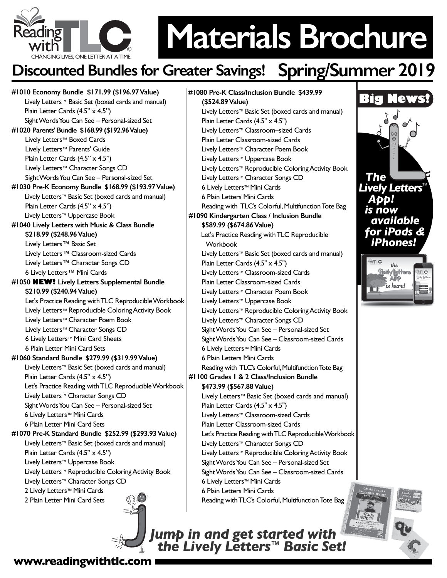

# **Materials Brochure**

## **Discounted Bundles for Greater Savings! Spring/Summer 2019**

**#1010 Economy Bundle \$171.99 (\$196.97 Value)** Lively Letters™ Basic Set (boxed cards and manual) Plain Letter Cards (4.5" x 4.5") Sight Words You Can See – Personal-sized Set **#1020 Parents' Bundle \$168.99 (\$192.96 Value)**  Lively Letters™ Boxed Cards Lively Letters™ Parents' Guide Plain Letter Cards (4.5" x 4.5") Lively Letters™ Character Songs CD Sight Words You Can See – Personal-sized Set **#1030 Pre-K Economy Bundle \$168.99 (\$193.97 Value)** Lively Letters™ Basic Set (boxed cards and manual) Plain Letter Cards (4.5" x 4.5") Lively Letters™ Uppercase Book **#1040 Lively Letters with Music & Class Bundle \$218.99 (\$248.96 Value)** Lively Letters™ Basic Set Lively Letters™ Classroom-sized Cards Lively Letters™ Character Songs CD 6 Lively Letters™ Mini Cards **#1050 NEW! Lively Letters Supplemental Bundle \$210.99 (\$240.94 Value)** Let's Practice Reading with TLC Reproducible Workbook Lively Letters™ Reproducible Coloring Activity Book Lively Letters™ Character Poem Book Lively Letters™ Character Songs CD 6 Lively Letters™ Mini Card Sheets 6 Plain Letter Mini Card Sets **#1060 Standard Bundle \$279.99 (\$319.99 Value)**  Lively Letters™ Basic Set (boxed cards and manual) Plain Letter Cards (4.5" x 4.5") Let's Practice Reading with TLC Reproducible Workbook Lively Letters™ Character Songs CD Sight Words You Can See – Personal-sized Set 6 Lively Letters™ Mini Cards 6 Plain Letter Mini Card Sets **#1070 Pre-K Standard Bundle \$252.99 (\$293.93 Value)** Lively Letters™ Basic Set (boxed cards and manual) Plain Letter Cards (4.5" x 4.5") Lively Letters™ Uppercase Book Lively Letters™ Reproducible Coloring Activity Book Lively Letters™ Character Songs CD 2 Lively Letters<sup>™</sup> Mini Cards 2 Plain Letter Mini Card Sets

**#1080 Pre-K Class/Inclusion Bundle \$439.99 (\$524.89 Value)**  Lively Letters™ Basic Set (boxed cards and manual) Plain Letter Cards (4.5" x 4.5") Lively Letters™ Classroom–sized Cards Plain Letter Classroom-sized Cards Lively Letters™ Character Poem Book Lively Letters™ Uppercase Book Lively Letters™ Reproducible Coloring Activity Book Lively Letters™ Character Songs CD 6 Lively Letters™ Mini Cards 6 Plain Letters Mini Cards Reading with TLC's Colorful, Multifunction Tote Bag **#1090 Kindergarten Class / Inclusion Bundle \$589.99 (\$674.86 Value)** Let's Practice Reading with TLC Reproducible Workbook Lively Letters™ Basic Set (boxed cards and manual) Plain Letter Cards (4.5" x 4.5") Lively Letters™ Classroom-sized Cards Plain Letter Classroom-sized Cards Lively Letters™ Character Poem Book Lively Letters™ Uppercase Book Lively Letters™ Reproducible Coloring Activity Book Lively Letters™ Character Songs CD Sight Words You Can See – Personal-sized Set Sight Words You Can See – Classroom-sized Cards 6 Lively Letters™ Mini Cards 6 Plain Letters Mini Cards Reading with TLC's Colorful, Multifunction Tote Bag **#1100 Grades 1 & 2 Class/Inclusion Bundle \$473.99 (\$567.88 Value)**  Lively Letters™ Basic Set (boxed cards and manual) Plain Letter Cards (4.5" x 4.5") Lively Letters™ Classroom-sized Cards Plain Letter Classroom-sized Cards Let's Practice Reading with TLC Reproducible Workbook Lively Letters™ Character Songs CD Lively Letters™ Reproducible Coloring Activity Book Sight Words You Can See – Personal-sized Set Sight Words You Can See – Classroom-sized Cards 6 Lively Letters™ Mini Cards 6 Plain Letters Mini Cards Reading with TLC's Colorful, Multifunction Tote Bag



*Jump in and get started with the Lively Letters™ Basic Set!*

#### **www.readingwithtlc.com**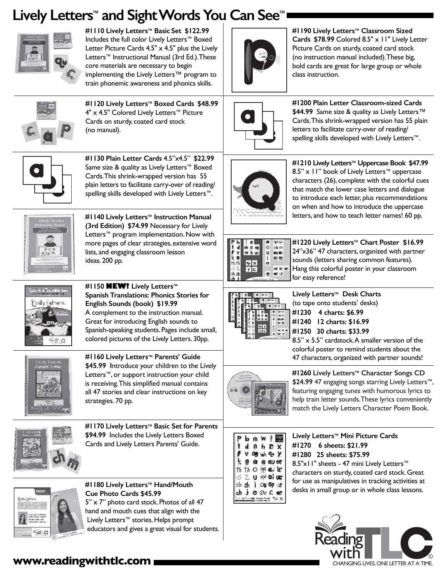### **Lively Letters™ and Sight Words You Can See™**



**#1110 Lively Letters™ Basic Set \$122.99**  Includes the full color Lively Letters™ Boxed Letter Picture Cards  $4.5" \times 4.5"$  plus the Lively Letters™ Instructional Manual (3rd Ed.). These core materials are necessary to begin implementing the Lively Letters™ program to train phonemic awareness and phonics skills.



**#1120 Lively Letters™ Boxed Cards \$48.99** 4" x 4.5" Colored Lively Letters™ Picture Cards on sturdy, coated card stock (no manual).



**#1130 Plain Letter Cards** 4.5"x4.5" **\$22.99** Same size & quality as Lively Letters™ Boxed Cards. This shrink-wrapped version has 55 plain letters to facilitate carry-over of reading/ spelling skills developed with Lively Letters™.



**#1140 Lively Letters™ Instruction Manual (3rd Edition) \$74.99** Necessary for Lively Letters™ program implementation. Now with more pages of clear strategies, extensive word lists, and engaging classroom lesson ideas. 200 pp.



**#1150 NEW! Lively Letters™ Spanish Translations: Phonics Stories for English Sounds (book) \$19.99** A complement to the instruction manual. Great for introducing English sounds to Spanish-speaking students. Pages include small, colored pictures of the Lively Letters. 30pp.



**#1160 Lively Letters™ Parents' Guide \$45.99 I**ntroduce your children to the Lively Letters™, or support instruction your child is receiving. This simplified manual contains all 47 stories and clear instructions on key strategies. 70 pp.



**#1170 Lively Letters™ Basic Set for Parents \$94.99** Includes the Lively Letters Boxed Cards and Lively Letters Parents' Guide.



**#1180 Lively Letters™ Hand/Mouth Cue Photo Cards \$45.99** 5" x 7" photo card stock. Photos of all 47 hand and mouth cues that align with the Lively Letters™ stories. Helps prompt

educators and gives a great visual for students.



**#1190 Lively Letters™ Classroom Sized Cards \$78.99** Colored 8.5" x 11" Lively Letter Picture Cards on sturdy, coated card stock (no instruction manual included). These big, bold cards are great for large group or whole class instruction.



**#1200 Plain Letter Classroom-sized Cards \$44.99** Same size & quality as Lively Letters™ Cards. This shrink-wrapped version has 55 plain letters to facilitate carry-over of reading/ spelling skills developed with Lively Letters™.



**#1210 Lively Letters™ Uppercase Book \$47.99**  8.5" x 11" book of Lively Letters™ uppercase characters (26), complete with the colorful cues that match the lower case letters and dialogue to introduce each letter, plus recommendations on when and how to introduce the uppercase letters, and how to teach letter names! 60 pp.



**#1220 Lively Letters™ Chart Poster \$16.99**  24"x36" 47 characters, organized with partner sounds (letters sharing common features). Hang this colorful poster in your classroom for easy reference!



**Lively Letters™ Desk Charts** (to tape onto students' desks) **#1230 4 charts: \$6.99 #1240 12 charts: \$16.99 #1250 30 charts: \$33.99**

8.5" x 5.5" cardstock. A smaller version of the colorful poster to remind students about the 47 characters, organized with partner sounds!



**#1260 Lively Letters™ Character Songs CD \$24.99** 47 engaging songs starring Lively Letters™, featuring engaging tunes with humorous lyrics to help train letter sounds. These lyrics conveniently match the Lively Letters Character Poem Book.

| 增励电义<br>Ϋ.<br>á é avet<br>协◎興転席<br>ປະ≫ັαະໜ⊵<br>ୀ ଘୋଷ/ଫ |  | b, mi W<br>非有罪义 |  |
|--------------------------------------------------------|--|-----------------|--|
|                                                        |  |                 |  |
|                                                        |  |                 |  |
|                                                        |  |                 |  |
|                                                        |  |                 |  |
| ក្លែផ្តា<br>١C                                         |  |                 |  |

**Lively Letters™ Mini Picture Cards #1270 6 sheets: \$21.99 #1280 25 sheets: \$75.99** 8.5"x11" sheets - 47 mini Lively Letters<sup>™</sup> characters on sturdy, coated card stock. Great for use as manipulatives in tracking activities at desks in small group or in whole class lessons.



#### **www.readingwithtlc.com**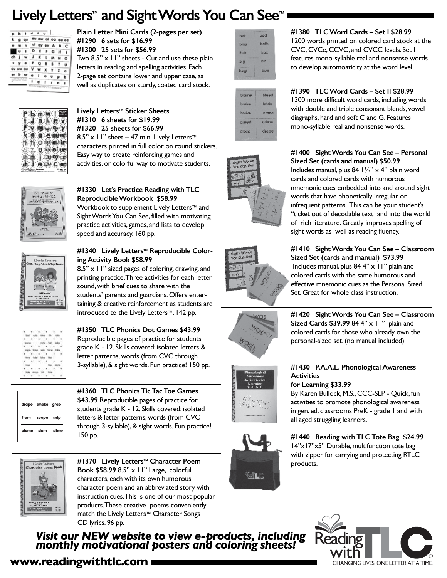### **Lively Letters™ and Sight Words You Can See™**



**Plain Letter Mini Cards (2-pages per set) #1290 6 sets for \$16.99 #1300 25 sets for \$56.99** Two  $8.5$ "  $\times$  11" sheets - Cut and use these plain letters in reading and spelling activities. Each 2-page set contains lower and upper case, as well as duplicates on sturdy, coated card stock.



**Lively Letters™ Sticker Sheets #1310 6 sheets for \$19.99 #1320 25 sheets for \$66.99** 8.5" x 11" sheet – 47 mini Lively Letters™ characters printed in full color on round stickers. Easy way to create reinforcing games and activities, or colorful way to motivate students.



**#1330 Let's Practice Reading with TLC Reproducible Workbook \$58.99**  Workbook to supplement Lively Letters™ and Sight Words You Can See, filled with motivating practice activities, games, and lists to develop speed and accuracy. 160 pp.



**#1340 Lively Letters™ Reproducible Coloring Activity Book \$58.99**

8.5" x 11" sized pages of coloring, drawing, and printing practice. Three activities for each letter sound, with brief cues to share with the students' parents and guardians. Offers entertaining & creative reinforcement as students are introduced to the Lively Letters™. 142 pp.

**#1350 TLC Phonics Dot Games \$43.99**  Reproducible pages of practice for students grade K - 12. Skills covered: isolated letters & letter patterns, words (from CVC through 3-syllable), & sight words. Fun practice! 150 pp.



**#1360 TLC Phonics Tic Tac Toe Games \$43.99** Reproducible pages of practice for students grade K - 12. Skills covered: isolated letters & letter patterns, words (from CVC through 3-syllable), & sight words. Fun practice! 150 pp.



**#1370 Lively Letters™ Character Poem Book \$58.99** 8.5" x 11" Large, colorful characters, each with its own humorous character poem and an abbreviated story with instruction cues. This is one of our most popular products. These creative poems conveniently match the Lively Letters™ Character Songs CD lyrics. 96 pp.

*Visit our NEW website to view e-products, including monthly motivational posters and coloring sheets!*



**#1380 TLC Word Cards – Set I \$28.99** 1200 words printed on colored card stock at the CVC, CVCe, CCVC, and CVCC levels. Set I features mono-syllable real and nonsense words

to develop automoaticity at the word level.



**#1390 TLC Word Cards – Set II \$28.99** 1300 more difficult word cards, including words with double and triple consonant blends, vowel diagraphs, hard and soft C and G. Features mono-syllable real and nonsense words.



**#1400 Sight Words You Can See – Personal Sized Set (cards and manual) \$50.99** Includes manual, plus 84  $1\frac{3}{4}$ " x 4" plain word cards and colored cards with humorous mnemonic cues embedded into and around sight words that have phonetically irregular or infrequent patterns. This can be your student's "ticket out of decodable text and into the world of rich literature. Greatly improves spelling of sight words as well as reading fluency.



**#1410 Sight Words You Can See – Classroom Sized Set (cards and manual) \$73.99**  Includes manual, plus  $84.4$ "  $\times$  11" plain and colored cards with the same humorous and effective mnemonic cues as the Personal Sized Set. Great for whole class instruction.



**#1420 Sight Words You Can See – Classroom Sized Cards \$39.99** 84 4" x 11" plain and colored cards for those who already own the personal-sized set. (no manual included)



**#1430 P.A.A.L. Phonological Awareness Activities for Learning \$33.99**  By Karen Bullock, M.S., CCC-SLP - Quick, fun

activities to promote phonological awareness in gen. ed. classrooms PreK - grade 1 and with all aged struggling learners.



**#1440 Reading with TLC Tote Bag \$24.99** 14"x17"x5" Durable, multifunction tote bag with zipper for carrying and protecting RTLC products.



#### **www.readingwithtlc.com CHANGING LIVES** ONE LETTER AT A TIME